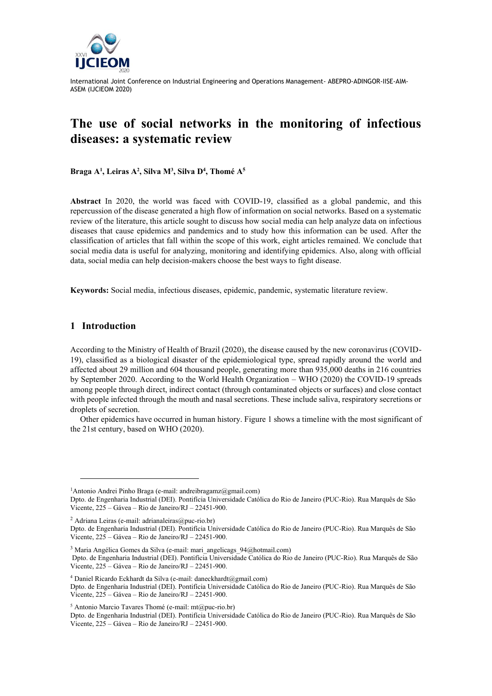

# **The use of social networks in the monitoring of infectious diseases: a systematic review**

**Braga A<sup>1</sup> , Leiras A<sup>2</sup> , Silva M<sup>3</sup> , Silva D<sup>4</sup> , Thomé A<sup>5</sup>** 

**Abstract** In 2020, the world was faced with COVID-19, classified as a global pandemic, and this repercussion of the disease generated a high flow of information on social networks. Based on a systematic review of the literature, this article sought to discuss how social media can help analyze data on infectious diseases that cause epidemics and pandemics and to study how this information can be used. After the classification of articles that fall within the scope of this work, eight articles remained. We conclude that social media data is useful for analyzing, monitoring and identifying epidemics. Also, along with official data, social media can help decision-makers choose the best ways to fight disease.

**Keywords:** Social media, infectious diseases, epidemic, pandemic, systematic literature review.

#### **1 Introduction**

According to the Ministry of Health of Brazil (2020), the disease caused by the new coronavirus (COVID-19), classified as a biological disaster of the epidemiological type, spread rapidly around the world and affected about 29 million and 604 thousand people, generating more than 935,000 deaths in 216 countries by September 2020. According to the World Health Organization – WHO (2020) the COVID-19 spreads among people through direct, indirect contact (through contaminated objects or surfaces) and close contact with people infected through the mouth and nasal secretions. These include saliva, respiratory secretions or droplets of secretion.

Other epidemics have occurred in human history. Figure 1 shows a timeline with the most significant of the 21st century, based on WHO (2020).

<sup>4</sup> Daniel Ricardo Eckhardt da Silva (e-mail: daneckhardt@gmail.com)

<sup>&</sup>lt;sup>1</sup>Antonio Andrei Pinho Braga (e-mail: andreibragamz@gmail.com)

Dpto. de Engenharia Industrial (DEI). Pontifícia Universidade Católica do Rio de Janeiro (PUC-Rio). Rua Marquês de São Vicente, 225 – Gávea – Rio de Janeiro/RJ – 22451-900.

 $2$  Adriana Leiras (e-mail: adrianaleiras@puc-rio.br)

Dpto. de Engenharia Industrial (DEI). Pontifícia Universidade Católica do Rio de Janeiro (PUC-Rio). Rua Marquês de São Vicente, 225 – Gávea – Rio de Janeiro/RJ – 22451-900.

<sup>&</sup>lt;sup>3</sup> Maria Angélica Gomes da Silva (e-mail: mari\_angelicags\_94@hotmail.com)

Dpto. de Engenharia Industrial (DEI). Pontifícia Universidade Católica do Rio de Janeiro (PUC-Rio). Rua Marquês de São Vicente, 225 – Gávea – Rio de Janeiro/RJ – 22451-900.

Dpto. de Engenharia Industrial (DEI). Pontifícia Universidade Católica do Rio de Janeiro (PUC-Rio). Rua Marquês de São Vicente, 225 – Gávea – Rio de Janeiro/RJ – 22451-900.

<sup>5</sup> Antonio Marcio Tavares Thomé (e-mail: mt@puc-rio.br)

Dpto. de Engenharia Industrial (DEI). Pontifícia Universidade Católica do Rio de Janeiro (PUC-Rio). Rua Marquês de São Vicente, 225 – Gávea – Rio de Janeiro/RJ – 22451-900.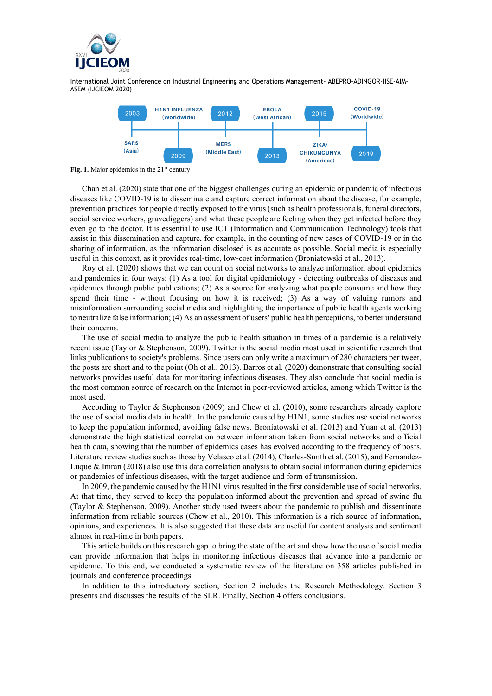



Fig. 1. Major epidemics in the 21<sup>st</sup> century

Chan et al. (2020) state that one of the biggest challenges during an epidemic or pandemic of infectious diseases like COVID-19 is to disseminate and capture correct information about the disease, for example, prevention practices for people directly exposed to the virus (such as health professionals, funeral directors, social service workers, gravediggers) and what these people are feeling when they get infected before they even go to the doctor. It is essential to use ICT (Information and Communication Technology) tools that assist in this dissemination and capture, for example, in the counting of new cases of COVID-19 or in the sharing of information, as the information disclosed is as accurate as possible. Social media is especially useful in this context, as it provides real-time, low-cost information (Broniatowski et al., 2013).

Roy et al. (2020) shows that we can count on social networks to analyze information about epidemics and pandemics in four ways: (1) As a tool for digital epidemiology - detecting outbreaks of diseases and epidemics through public publications; (2) As a source for analyzing what people consume and how they spend their time - without focusing on how it is received; (3) As a way of valuing rumors and misinformation surrounding social media and highlighting the importance of public health agents working to neutralize false information; (4) As an assessment of users' public health perceptions, to better understand their concerns.

The use of social media to analyze the public health situation in times of a pandemic is a relatively recent issue (Taylor & Stephenson, 2009). Twitter is the social media most used in scientific research that links publications to society's problems. Since users can only write a maximum of 280 characters per tweet, the posts are short and to the point (Oh et al., 2013). Barros et al. (2020) demonstrate that consulting social networks provides useful data for monitoring infectious diseases. They also conclude that social media is the most common source of research on the Internet in peer-reviewed articles, among which Twitter is the most used.

According to Taylor & Stephenson (2009) and Chew et al. (2010), some researchers already explore the use of social media data in health. In the pandemic caused by H1N1, some studies use social networks to keep the population informed, avoiding false news. Broniatowski et al. (2013) and Yuan et al. (2013) demonstrate the high statistical correlation between information taken from social networks and official health data, showing that the number of epidemics cases has evolved according to the frequency of posts. Literature review studies such as those by Velasco et al. (2014), Charles-Smith et al. (2015), and Fernandez-Luque & Imran (2018) also use this data correlation analysis to obtain social information during epidemics or pandemics of infectious diseases, with the target audience and form of transmission.

In 2009, the pandemic caused by the H1N1 virus resulted in the first considerable use of social networks. At that time, they served to keep the population informed about the prevention and spread of swine flu (Taylor & Stephenson, 2009). Another study used tweets about the pandemic to publish and disseminate information from reliable sources (Chew et al., 2010). This information is a rich source of information, opinions, and experiences. It is also suggested that these data are useful for content analysis and sentiment almost in real-time in both papers.

This article builds on this research gap to bring the state of the art and show how the use of social media can provide information that helps in monitoring infectious diseases that advance into a pandemic or epidemic. To this end, we conducted a systematic review of the literature on 358 articles published in journals and conference proceedings.

In addition to this introductory section, Section 2 includes the Research Methodology. Section 3 presents and discusses the results of the SLR. Finally, Section 4 offers conclusions.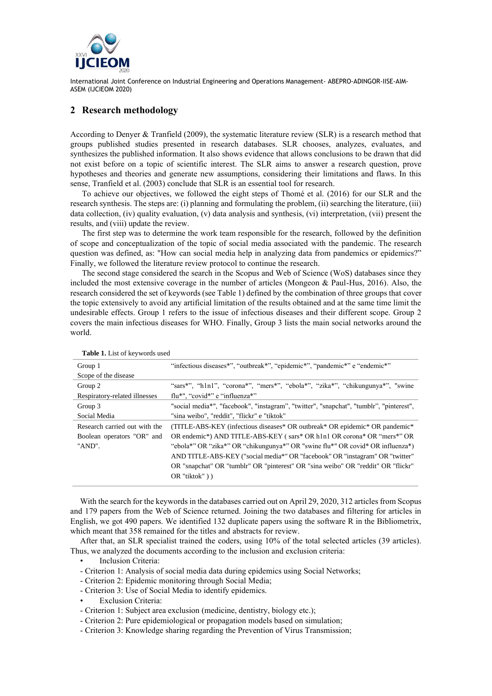

### **2 Research methodology**

According to Denyer & Tranfield (2009), the systematic literature review (SLR) is a research method that groups published studies presented in research databases. SLR chooses, analyzes, evaluates, and synthesizes the published information. It also shows evidence that allows conclusions to be drawn that did not exist before on a topic of scientific interest. The SLR aims to answer a research question, prove hypotheses and theories and generate new assumptions, considering their limitations and flaws. In this sense, Tranfield et al. (2003) conclude that SLR is an essential tool for research.

To achieve our objectives, we followed the eight steps of Thomé et al. (2016) for our SLR and the research synthesis. The steps are: (i) planning and formulating the problem, (ii) searching the literature, (iii) data collection, (iv) quality evaluation, (v) data analysis and synthesis, (vi) interpretation, (vii) present the results, and (viii) update the review.

The first step was to determine the work team responsible for the research, followed by the definition of scope and conceptualization of the topic of social media associated with the pandemic. The research question was defined, as: "How can social media help in analyzing data from pandemics or epidemics?" Finally, we followed the literature review protocol to continue the research.

The second stage considered the search in the Scopus and Web of Science (WoS) databases since they included the most extensive coverage in the number of articles (Mongeon & Paul-Hus, 2016). Also, the research considered the set of keywords (see Table 1) defined by the combination of three groups that cover the topic extensively to avoid any artificial limitation of the results obtained and at the same time limit the undesirable effects. Group 1 refers to the issue of infectious diseases and their different scope. Group 2 covers the main infectious diseases for WHO. Finally, Group 3 lists the main social networks around the world.

| Group 1                       | "infectious diseases*", "outbreak*", "epidemic*", "pandemic*" e "endemic*"              |  |  |  |  |
|-------------------------------|-----------------------------------------------------------------------------------------|--|--|--|--|
| Scope of the disease          |                                                                                         |  |  |  |  |
| Group 2                       | "sars*", "h1n1", "corona*", "mers*", "ebola*", "zika*", "chikungunya*", "swine          |  |  |  |  |
| Respiratory-related illnesses | flu*", "covid*" e "influenza*"                                                          |  |  |  |  |
| Group 3                       | "social media*", "facebook", "instagram", "twitter", "snapchat", "tumblr", "pinterest", |  |  |  |  |
| Social Media                  | "sina weibo", "reddit", "flickr" e "tiktok"                                             |  |  |  |  |
| Research carried out with the | (TITLE-ABS-KEY (infectious diseases* OR outbreak* OR epidemic* OR pandemic*)            |  |  |  |  |
| Boolean operators "OR" and    | OR endemic*) AND TITLE-ABS-KEY (sars* OR h1n1 OR corona* OR "mers*" OR                  |  |  |  |  |
| "AND".                        | "ebola*" OR "zika*" OR "chikungunya*" OR "swine flu*" OR covid* OR influenza*)          |  |  |  |  |
|                               | AND TITLE-ABS-KEY ("social media*" OR "facebook" OR "instagram" OR "twitter"            |  |  |  |  |
|                               | OR "snapchat" OR "tumblr" OR "pinterest" OR "sina weibo" OR "reddit" OR "flickr"        |  |  |  |  |
|                               | $OR$ "tiktok" $)$ )                                                                     |  |  |  |  |
|                               |                                                                                         |  |  |  |  |

**Table 1.** List of keywords used

With the search for the keywords in the databases carried out on April 29, 2020, 312 articles from Scopus and 179 papers from the Web of Science returned. Joining the two databases and filtering for articles in English, we got 490 papers. We identified 132 duplicate papers using the software R in the Bibliometrix, which meant that 358 remained for the titles and abstracts for review.

After that, an SLR specialist trained the coders, using 10% of the total selected articles (39 articles). Thus, we analyzed the documents according to the inclusion and exclusion criteria:

- Inclusion Criteria:
- Criterion 1: Analysis of social media data during epidemics using Social Networks;
- Criterion 2: Epidemic monitoring through Social Media;
- Criterion 3: Use of Social Media to identify epidemics.
- **Exclusion Criteria:**
- Criterion 1: Subject area exclusion (medicine, dentistry, biology etc.);
- Criterion 2: Pure epidemiological or propagation models based on simulation;
- Criterion 3: Knowledge sharing regarding the Prevention of Virus Transmission;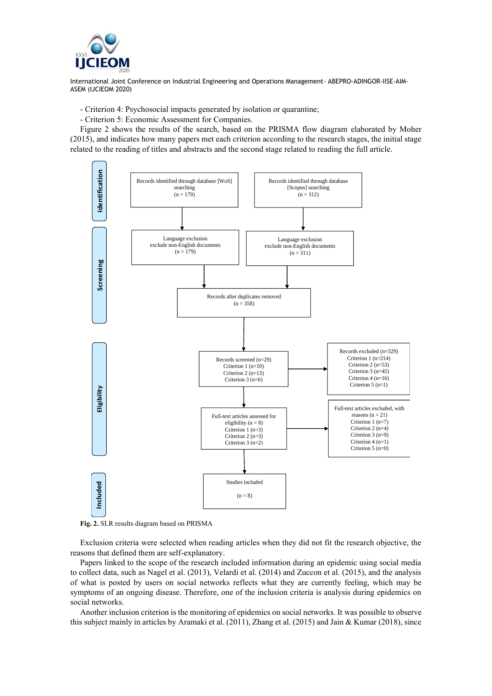

- Criterion 4: Psychosocial impacts generated by isolation or quarantine;
- Criterion 5: Economic Assessment for Companies.

Figure 2 shows the results of the search, based on the PRISMA flow diagram elaborated by Moher (2015), and indicates how many papers met each criterion according to the research stages, the initial stage related to the reading of titles and abstracts and the second stage related to reading the full article.



**Fig. 2.** SLR results diagram based on PRISMA

Exclusion criteria were selected when reading articles when they did not fit the research objective, the reasons that defined them are self-explanatory.

Papers linked to the scope of the research included information during an epidemic using social media to collect data, such as Nagel et al. (2013), Velardi et al. (2014) and Zuccon et al. (2015), and the analysis of what is posted by users on social networks reflects what they are currently feeling, which may be symptoms of an ongoing disease. Therefore, one of the inclusion criteria is analysis during epidemics on social networks.

Another inclusion criterion is the monitoring of epidemics on social networks. It was possible to observe this subject mainly in articles by Aramaki et al. (2011), Zhang et al. (2015) and Jain & Kumar (2018), since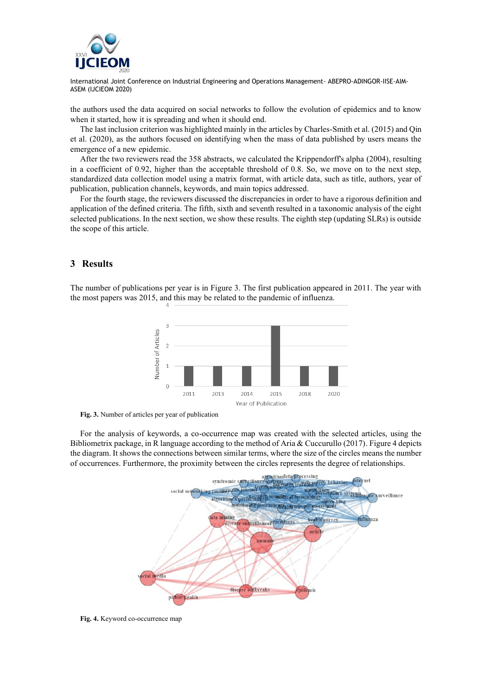![](_page_4_Picture_0.jpeg)

the authors used the data acquired on social networks to follow the evolution of epidemics and to know when it started, how it is spreading and when it should end.

The last inclusion criterion was highlighted mainly in the articles by Charles-Smith et al. (2015) and Qin et al. (2020), as the authors focused on identifying when the mass of data published by users means the emergence of a new epidemic.

After the two reviewers read the 358 abstracts, we calculated the Krippendorff's alpha (2004), resulting in a coefficient of 0.92, higher than the acceptable threshold of 0.8. So, we move on to the next step, standardized data collection model using a matrix format, with article data, such as title, authors, year of publication, publication channels, keywords, and main topics addressed.

For the fourth stage, the reviewers discussed the discrepancies in order to have a rigorous definition and application of the defined criteria. The fifth, sixth and seventh resulted in a taxonomic analysis of the eight selected publications. In the next section, we show these results. The eighth step (updating SLRs) is outside the scope of this article.

## **3 Results**

The number of publications per year is in Figure 3. The first publication appeared in 2011. The year with the most papers was 2015, and this may be related to the pandemic of influenza.

![](_page_4_Figure_8.jpeg)

**Fig. 3.** Number of articles per year of publication

For the analysis of keywords, a co-occurrence map was created with the selected articles, using the Bibliometrix package, in R language according to the method of Aria & Cuccurullo (2017). Figure 4 depicts the diagram. It shows the connections between similar terms, where the size of the circles means the number of occurrences. Furthermore, the proximity between the circles represents the degree of relationships.

![](_page_4_Figure_11.jpeg)

**Fig. 4.** Keyword co-occurrence map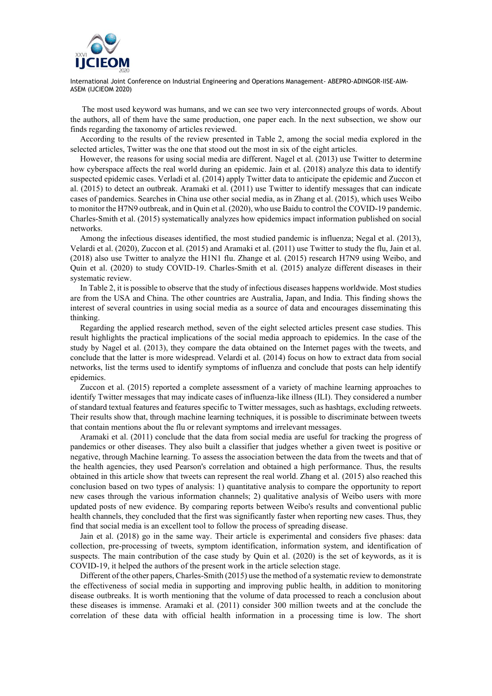![](_page_5_Picture_0.jpeg)

The most used keyword was humans, and we can see two very interconnected groups of words. About the authors, all of them have the same production, one paper each. In the next subsection, we show our finds regarding the taxonomy of articles reviewed.

According to the results of the review presented in Table 2, among the social media explored in the selected articles, Twitter was the one that stood out the most in six of the eight articles.

However, the reasons for using social media are different. Nagel et al. (2013) use Twitter to determine how cyberspace affects the real world during an epidemic. Jain et al. (2018) analyze this data to identify suspected epidemic cases. Verladi et al. (2014) apply Twitter data to anticipate the epidemic and Zuccon et al. (2015) to detect an outbreak. Aramaki et al. (2011) use Twitter to identify messages that can indicate cases of pandemics. Searches in China use other social media, as in Zhang et al. (2015), which uses Weibo to monitor the H7N9 outbreak, and in Quin et al. (2020), who use Baidu to control the COVID-19 pandemic. Charles-Smith et al. (2015) systematically analyzes how epidemics impact information published on social networks.

Among the infectious diseases identified, the most studied pandemic is influenza; Negal et al. (2013), Velardi et al. (2020), Zuccon et al. (2015) and Aramaki et al. (2011) use Twitter to study the flu, Jain et al. (2018) also use Twitter to analyze the H1N1 flu. Zhange et al. (2015) research H7N9 using Weibo, and Quin et al. (2020) to study COVID-19. Charles-Smith et al. (2015) analyze different diseases in their systematic review.

In Table 2, it is possible to observe that the study of infectious diseases happens worldwide. Most studies are from the USA and China. The other countries are Australia, Japan, and India. This finding shows the interest of several countries in using social media as a source of data and encourages disseminating this thinking.

Regarding the applied research method, seven of the eight selected articles present case studies. This result highlights the practical implications of the social media approach to epidemics. In the case of the study by Nagel et al. (2013), they compare the data obtained on the Internet pages with the tweets, and conclude that the latter is more widespread. Velardi et al. (2014) focus on how to extract data from social networks, list the terms used to identify symptoms of influenza and conclude that posts can help identify epidemics.

Zuccon et al. (2015) reported a complete assessment of a variety of machine learning approaches to identify Twitter messages that may indicate cases of influenza-like illness (ILI). They considered a number of standard textual features and features specific to Twitter messages, such as hashtags, excluding retweets. Their results show that, through machine learning techniques, it is possible to discriminate between tweets that contain mentions about the flu or relevant symptoms and irrelevant messages.

Aramaki et al. (2011) conclude that the data from social media are useful for tracking the progress of pandemics or other diseases. They also built a classifier that judges whether a given tweet is positive or negative, through Machine learning. To assess the association between the data from the tweets and that of the health agencies, they used Pearson's correlation and obtained a high performance. Thus, the results obtained in this article show that tweets can represent the real world. Zhang et al. (2015) also reached this conclusion based on two types of analysis: 1) quantitative analysis to compare the opportunity to report new cases through the various information channels; 2) qualitative analysis of Weibo users with more updated posts of new evidence. By comparing reports between Weibo's results and conventional public health channels, they concluded that the first was significantly faster when reporting new cases. Thus, they find that social media is an excellent tool to follow the process of spreading disease.

Jain et al. (2018) go in the same way. Their article is experimental and considers five phases: data collection, pre-processing of tweets, symptom identification, information system, and identification of suspects. The main contribution of the case study by Quin et al. (2020) is the set of keywords, as it is COVID-19, it helped the authors of the present work in the article selection stage.

Different of the other papers, Charles-Smith (2015) use the method of a systematic review to demonstrate the effectiveness of social media in supporting and improving public health, in addition to monitoring disease outbreaks. It is worth mentioning that the volume of data processed to reach a conclusion about these diseases is immense. Aramaki et al. (2011) consider 300 million tweets and at the conclude the correlation of these data with official health information in a processing time is low. The short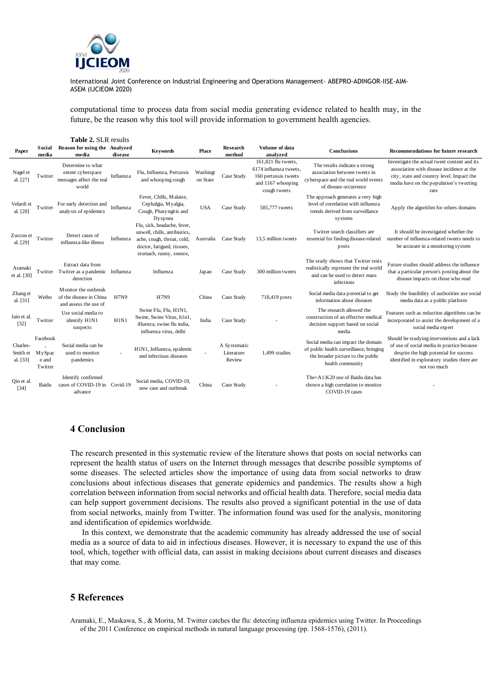![](_page_6_Picture_0.jpeg)

computational time to process data from social media generating evidence related to health may, in the future, be the reason why this tool will provide information to government health agencies.

|                                  |                                        | <b>Table 2. SLR results</b>                                                 |             |                                                                                                                                                    |                      |                                      |                                                                                                            |                                                                                                                                        |                                                                                                                                                                                                    |
|----------------------------------|----------------------------------------|-----------------------------------------------------------------------------|-------------|----------------------------------------------------------------------------------------------------------------------------------------------------|----------------------|--------------------------------------|------------------------------------------------------------------------------------------------------------|----------------------------------------------------------------------------------------------------------------------------------------|----------------------------------------------------------------------------------------------------------------------------------------------------------------------------------------------------|
| Paper                            | Social<br>media                        | Reason for using the Analyzed<br>media                                      | disease     | <b>Keywords</b>                                                                                                                                    | Place                | Research<br>method                   | Volume of data<br>analyzed                                                                                 | Conclusions                                                                                                                            | <b>Recommendations for future research</b>                                                                                                                                                         |
| Nagel et<br>al. [27]             | Twitter                                | Determine to what<br>extent cyberspace<br>messages affect the real<br>world | Influenza   | Flu, Influenza, Pertussis<br>and whooping cough                                                                                                    | Washingt<br>on State | Case Study                           | 161,821 flu tweets,<br>6174 influenza tweets,<br>160 pertussis tweets<br>and 1167 whooping<br>cough tweets | The results indicate a strong<br>association between tweets in<br>cyberspace and the real world events<br>of disease occurrence        | Investigate the actual tweet content and its<br>association with disease incidence at the<br>city, state and country level. Impact the<br>media have on the population's tweeting<br>rate          |
| Velardi et<br>al. [28]           | Twitter                                | For early detection and<br>analysis of epidemics                            | Influenza   | Fever, Chills, Malaise,<br>Cephalgia, Myalgia,<br>Cough, Pharyngitis and<br>Dyspnea                                                                | <b>USA</b>           | Case Study                           | 585,777 tweets                                                                                             | The approach generates a very high<br>level of correlation with influenza<br>trends derived from surveillance<br>systems               | Apply the algorithm for others domains                                                                                                                                                             |
| Zuccon et<br>al. [29]            | Twitter                                | Detect cases of<br>influenza-like illness                                   | Influenza   | Flu, sick, headache, fever,<br>unwell, chills, antibiotics,<br>ache, cough, throat, cold,<br>doctor, fatigued, tissues,<br>stomach, runny, sneeze, | Australia            | Case Study                           | 13.5 million tweets                                                                                        | Twitter search classifiers are<br>essential for finding disease-related<br>posts                                                       | It should be investigated whether the<br>number of influenza-related tweets needs to<br>be accurate in a monitoring system                                                                         |
| Aramaki<br>et al. [30]           | Twitter                                | Extract data from<br>Twitter as a pandemic Influenza<br>detection           |             | Influenza                                                                                                                                          | Japan                | Case Study                           | 300 million tweets                                                                                         | The study shows that Twitter texts<br>realistically represent the real world<br>and can be used to detect mass<br>infections           | Future studies should address the influence<br>that a particular person's posting about the<br>disease impacts on those who read                                                                   |
| Zhang et<br>al. [31]             | Weibo                                  | Monitor the outbreak<br>of the disease in China<br>and assess the use of    | <b>H7N9</b> | <b>H7N9</b>                                                                                                                                        | China                | Case Study                           | 718,419 posts                                                                                              | Social media data potential to get<br>information about diseases                                                                       | Study the feasibility of authorities use social<br>media data as a public platform                                                                                                                 |
| Jain et al.<br>$[32]$            | Twitter                                | Use social media to<br>identify H1N1<br>suspects                            | H1N1        | Swine Flu, Flu, H1N1,<br>Swine, Swine Virus, h1n1,<br>ifluenza, swine flu india,<br>influenza virus, delhi                                         | India                | Case Study                           |                                                                                                            | The research allowed the<br>construction of an effective medical<br>decision support based on social<br>media                          | Features such as reduction algorithms can be<br>incorporated to assist the development of a<br>social media expert                                                                                 |
| Charles-<br>Smith et<br>al. [33] | Facebook<br>MySpac<br>e and<br>Twitter | Social media can be<br>used to monitor<br>pandemics                         |             | H1N1, Influenza, epidemic<br>and infectious diseases                                                                                               |                      | A Systematic<br>Literature<br>Review | 1,499 studies                                                                                              | Social media can impact the domain<br>of public health surveillance, bringing<br>the broader picture to the public<br>health community | Should be studying interventions and a lack<br>of use of social media in practice because<br>despite the high potential for success<br>identified in exploratory studies there are<br>not too much |
| Qin et al.<br>$[34]$             | Baidu                                  | Identify confirmed<br>cases of COVID-19 in Covid-19<br>advance              |             | Social media, COVID-19,<br>new case and outbreak                                                                                                   | China                | Case Study                           |                                                                                                            | The+A1:K20 use of Baidu data has<br>shown a high correlation to monitor<br>COVID-19 cases                                              |                                                                                                                                                                                                    |

#### **4 Conclusion**

The research presented in this systematic review of the literature shows that posts on social networks can represent the health status of users on the Internet through messages that describe possible symptoms of some diseases. The selected articles show the importance of using data from social networks to draw conclusions about infectious diseases that generate epidemics and pandemics. The results show a high correlation between information from social networks and official health data. Therefore, social media data can help support government decisions. The results also proved a significant potential in the use of data from social networks, mainly from Twitter. The information found was used for the analysis, monitoring and identification of epidemics worldwide.

In this context, we demonstrate that the academic community has already addressed the use of social media as a source of data to aid in infectious diseases. However, it is necessary to expand the use of this tool, which, together with official data, can assist in making decisions about current diseases and diseases that may come.

## **5 References**

Aramaki, E., Maskawa, S., & Morita, M. Twitter catches the flu: detecting influenza epidemics using Twitter. In Proceedings of the 2011 Conference on empirical methods in natural language processing (pp. 1568-1576), (2011).